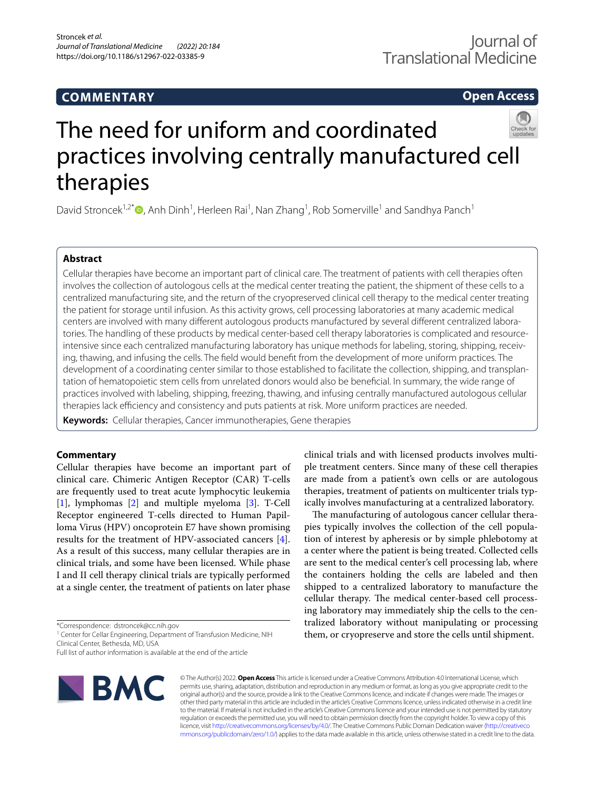## **COMMENTARY**

**Open Access**

# The need for uniform and coordinated practices involving centrally manufactured cell therapies

David Stroncek<sup>1,2[\\*](http://orcid.org/0000-0001-5867-3265)</sup><sup>®</sup>, Anh Dinh<sup>1</sup>, Herleen Rai<sup>1</sup>, Nan Zhang<sup>1</sup>, Rob Somerville<sup>1</sup> and Sandhya Panch<sup>1</sup>

## **Abstract**

Cellular therapies have become an important part of clinical care. The treatment of patients with cell therapies often involves the collection of autologous cells at the medical center treating the patient, the shipment of these cells to a centralized manufacturing site, and the return of the cryopreserved clinical cell therapy to the medical center treating the patient for storage until infusion. As this activity grows, cell processing laboratories at many academic medical centers are involved with many diferent autologous products manufactured by several diferent centralized laboratories. The handling of these products by medical center-based cell therapy laboratories is complicated and resourceintensive since each centralized manufacturing laboratory has unique methods for labeling, storing, shipping, receiving, thawing, and infusing the cells. The feld would beneft from the development of more uniform practices. The development of a coordinating center similar to those established to facilitate the collection, shipping, and transplantation of hematopoietic stem cells from unrelated donors would also be benefcial. In summary, the wide range of practices involved with labeling, shipping, freezing, thawing, and infusing centrally manufactured autologous cellular therapies lack efficiency and consistency and puts patients at risk. More uniform practices are needed.

**Keywords:** Cellular therapies, Cancer immunotherapies, Gene therapies

## **Commentary**

Cellular therapies have become an important part of clinical care. Chimeric Antigen Receptor (CAR) T-cells are frequently used to treat acute lymphocytic leukemia [[1\]](#page-2-0), lymphomas [\[2](#page-2-1)] and multiple myeloma [\[3](#page-2-2)]. T-Cell Receptor engineered T-cells directed to Human Papilloma Virus (HPV) oncoprotein E7 have shown promising results for the treatment of HPV-associated cancers [\[4](#page-2-3)]. As a result of this success, many cellular therapies are in clinical trials, and some have been licensed. While phase I and II cell therapy clinical trials are typically performed at a single center, the treatment of patients on later phase

\*Correspondence: dstroncek@cc.nih.gov

<sup>1</sup> Center for Cellar Engineering, Department of Transfusion Medicine, NIH Clinical Center, Bethesda, MD, USA

Full list of author information is available at the end of the article



© The Author(s) 2022. **Open Access** This article is licensed under a Creative Commons Attribution 4.0 International License, which permits use, sharing, adaptation, distribution and reproduction in any medium or format, as long as you give appropriate credit to the original author(s) and the source, provide a link to the Creative Commons licence, and indicate if changes were made. The images or other third party material in this article are included in the article's Creative Commons licence, unless indicated otherwise in a credit line to the material. If material is not included in the article's Creative Commons licence and your intended use is not permitted by statutory regulation or exceeds the permitted use, you will need to obtain permission directly from the copyright holder. To view a copy of this licence, visit [http://creativecommons.org/licenses/by/4.0/.](http://creativecommons.org/licenses/by/4.0/) The Creative Commons Public Domain Dedication waiver ([http://creativeco](http://creativecommons.org/publicdomain/zero/1.0/) [mmons.org/publicdomain/zero/1.0/](http://creativecommons.org/publicdomain/zero/1.0/)) applies to the data made available in this article, unless otherwise stated in a credit line to the data.

clinical trials and with licensed products involves multiple treatment centers. Since many of these cell therapies are made from a patient's own cells or are autologous therapies, treatment of patients on multicenter trials typically involves manufacturing at a centralized laboratory.

The manufacturing of autologous cancer cellular therapies typically involves the collection of the cell population of interest by apheresis or by simple phlebotomy at a center where the patient is being treated. Collected cells are sent to the medical center's cell processing lab, where the containers holding the cells are labeled and then shipped to a centralized laboratory to manufacture the cellular therapy. The medical center-based cell processing laboratory may immediately ship the cells to the centralized laboratory without manipulating or processing them, or cryopreserve and store the cells until shipment.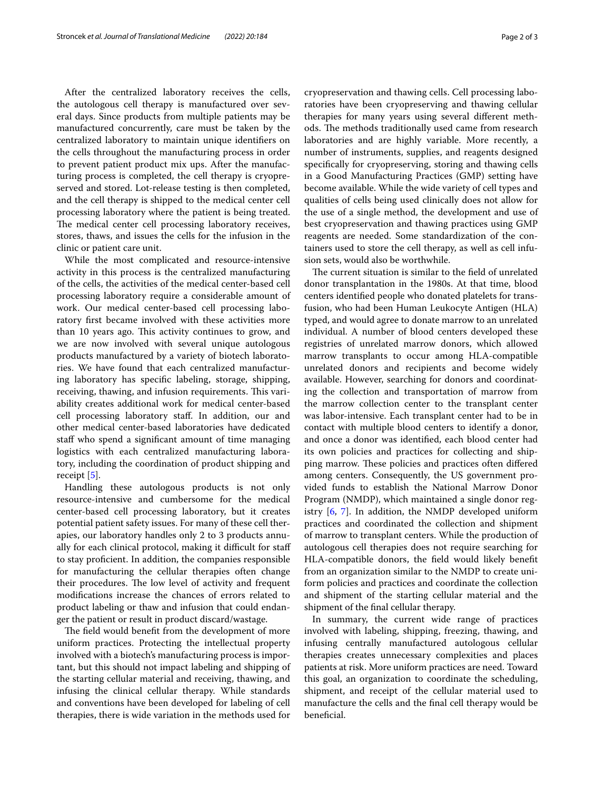After the centralized laboratory receives the cells, the autologous cell therapy is manufactured over several days. Since products from multiple patients may be manufactured concurrently, care must be taken by the centralized laboratory to maintain unique identifers on the cells throughout the manufacturing process in order to prevent patient product mix ups. After the manufacturing process is completed, the cell therapy is cryopreserved and stored. Lot-release testing is then completed, and the cell therapy is shipped to the medical center cell processing laboratory where the patient is being treated. The medical center cell processing laboratory receives, stores, thaws, and issues the cells for the infusion in the clinic or patient care unit.

While the most complicated and resource-intensive activity in this process is the centralized manufacturing of the cells, the activities of the medical center-based cell processing laboratory require a considerable amount of work. Our medical center-based cell processing laboratory frst became involved with these activities more than 10 years ago. This activity continues to grow, and we are now involved with several unique autologous products manufactured by a variety of biotech laboratories. We have found that each centralized manufacturing laboratory has specifc labeling, storage, shipping, receiving, thawing, and infusion requirements. This variability creates additional work for medical center-based cell processing laboratory staf. In addition, our and other medical center-based laboratories have dedicated staff who spend a significant amount of time managing logistics with each centralized manufacturing laboratory, including the coordination of product shipping and receipt [\[5](#page-2-4)].

Handling these autologous products is not only resource-intensive and cumbersome for the medical center-based cell processing laboratory, but it creates potential patient safety issues. For many of these cell therapies, our laboratory handles only 2 to 3 products annually for each clinical protocol, making it difficult for staff to stay profcient. In addition, the companies responsible for manufacturing the cellular therapies often change their procedures. The low level of activity and frequent modifcations increase the chances of errors related to product labeling or thaw and infusion that could endanger the patient or result in product discard/wastage.

The field would benefit from the development of more uniform practices. Protecting the intellectual property involved with a biotech's manufacturing process is important, but this should not impact labeling and shipping of the starting cellular material and receiving, thawing, and infusing the clinical cellular therapy. While standards and conventions have been developed for labeling of cell therapies, there is wide variation in the methods used for cryopreservation and thawing cells. Cell processing laboratories have been cryopreserving and thawing cellular therapies for many years using several diferent methods. The methods traditionally used came from research laboratories and are highly variable. More recently, a number of instruments, supplies, and reagents designed specifcally for cryopreserving, storing and thawing cells in a Good Manufacturing Practices (GMP) setting have become available. While the wide variety of cell types and qualities of cells being used clinically does not allow for the use of a single method, the development and use of best cryopreservation and thawing practices using GMP reagents are needed. Some standardization of the containers used to store the cell therapy, as well as cell infusion sets, would also be worthwhile.

The current situation is similar to the field of unrelated donor transplantation in the 1980s. At that time, blood centers identifed people who donated platelets for transfusion, who had been Human Leukocyte Antigen (HLA) typed, and would agree to donate marrow to an unrelated individual. A number of blood centers developed these registries of unrelated marrow donors, which allowed marrow transplants to occur among HLA-compatible unrelated donors and recipients and become widely available. However, searching for donors and coordinating the collection and transportation of marrow from the marrow collection center to the transplant center was labor-intensive. Each transplant center had to be in contact with multiple blood centers to identify a donor, and once a donor was identifed, each blood center had its own policies and practices for collecting and shipping marrow. These policies and practices often differed among centers. Consequently, the US government provided funds to establish the National Marrow Donor Program (NMDP), which maintained a single donor registry [\[6](#page-2-5), [7](#page-2-6)]. In addition, the NMDP developed uniform practices and coordinated the collection and shipment of marrow to transplant centers. While the production of autologous cell therapies does not require searching for HLA-compatible donors, the feld would likely beneft from an organization similar to the NMDP to create uniform policies and practices and coordinate the collection and shipment of the starting cellular material and the shipment of the fnal cellular therapy.

In summary, the current wide range of practices involved with labeling, shipping, freezing, thawing, and infusing centrally manufactured autologous cellular therapies creates unnecessary complexities and places patients at risk. More uniform practices are need. Toward this goal, an organization to coordinate the scheduling, shipment, and receipt of the cellular material used to manufacture the cells and the fnal cell therapy would be benefcial.